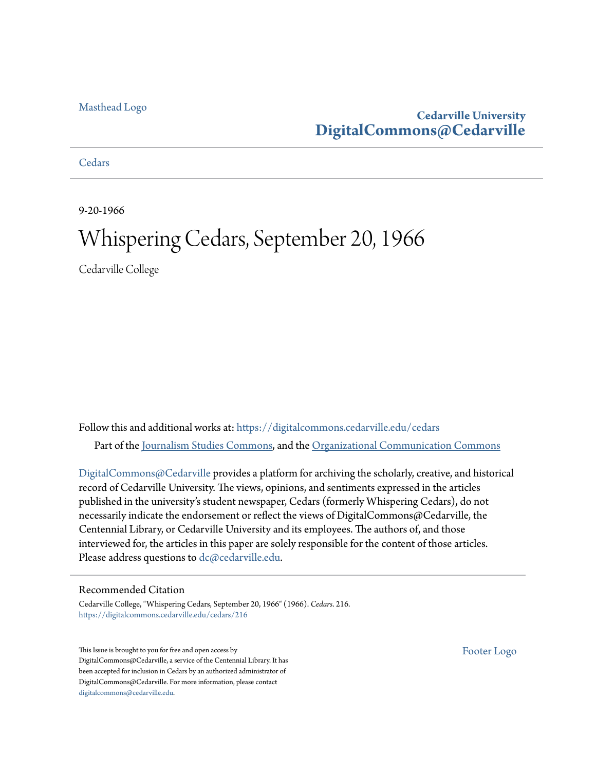#### [Masthead Logo](http://www.cedarville.edu/?utm_source=digitalcommons.cedarville.edu%2Fcedars%2F216&utm_medium=PDF&utm_campaign=PDFCoverPages)

### **Cedarville University [DigitalCommons@Cedarville](https://digitalcommons.cedarville.edu?utm_source=digitalcommons.cedarville.edu%2Fcedars%2F216&utm_medium=PDF&utm_campaign=PDFCoverPages)**

**[Cedars](https://digitalcommons.cedarville.edu/cedars?utm_source=digitalcommons.cedarville.edu%2Fcedars%2F216&utm_medium=PDF&utm_campaign=PDFCoverPages)** 

9-20-1966

## Whispering Cedars, September 20, 1966

Cedarville College

Follow this and additional works at: [https://digitalcommons.cedarville.edu/cedars](https://digitalcommons.cedarville.edu/cedars?utm_source=digitalcommons.cedarville.edu%2Fcedars%2F216&utm_medium=PDF&utm_campaign=PDFCoverPages) Part of the [Journalism Studies Commons](http://network.bepress.com/hgg/discipline/333?utm_source=digitalcommons.cedarville.edu%2Fcedars%2F216&utm_medium=PDF&utm_campaign=PDFCoverPages), and the [Organizational Communication Commons](http://network.bepress.com/hgg/discipline/335?utm_source=digitalcommons.cedarville.edu%2Fcedars%2F216&utm_medium=PDF&utm_campaign=PDFCoverPages)

[DigitalCommons@Cedarville](http://digitalcommons.cedarville.edu/) provides a platform for archiving the scholarly, creative, and historical record of Cedarville University. The views, opinions, and sentiments expressed in the articles published in the university's student newspaper, Cedars (formerly Whispering Cedars), do not necessarily indicate the endorsement or reflect the views of DigitalCommons@Cedarville, the Centennial Library, or Cedarville University and its employees. The authors of, and those interviewed for, the articles in this paper are solely responsible for the content of those articles. Please address questions to [dc@cedarville.edu.](mailto:dc@cedarville.edu)

#### Recommended Citation

Cedarville College, "Whispering Cedars, September 20, 1966" (1966). *Cedars*. 216. [https://digitalcommons.cedarville.edu/cedars/216](https://digitalcommons.cedarville.edu/cedars/216?utm_source=digitalcommons.cedarville.edu%2Fcedars%2F216&utm_medium=PDF&utm_campaign=PDFCoverPages)

This Issue is brought to you for free and open access by DigitalCommons@Cedarville, a service of the Centennial Library. It has been accepted for inclusion in Cedars by an authorized administrator of DigitalCommons@Cedarville. For more information, please contact [digitalcommons@cedarville.edu](mailto:digitalcommons@cedarville.edu).

[Footer Logo](http://www.cedarville.edu/Academics/Library.aspx?utm_source=digitalcommons.cedarville.edu%2Fcedars%2F216&utm_medium=PDF&utm_campaign=PDFCoverPages)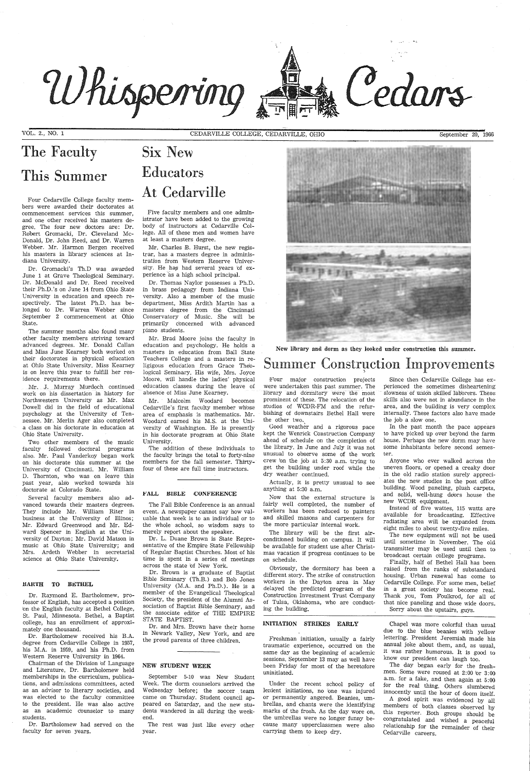# Whispering

VOL. 2., NO. 1

# The Faculty This Summer

Four Cedarville College faculty members were awarded their doctorates at commencement services this summer, and one other received his masters degree. The four new dbctors are: Dr. Robert Gromacki, Dr. Cleveland Mc-Donald, Dr. John Reed, and Dr. Warren Webber. Mr. Harmon Bergen received his masters in library sciences at Indiana University.

Dr. Gromacki's Th.D was awarded June 1 at Grave Theological Seminary. Dr. McDonald and Dr. Reed received their Ph.D.'s on June 14 from Ohio State University in education and speech respectively. The latest Ph.D. has belonged to Dr. Warren Webber since September 2 commencement at Ohio State.

The summer months also found many other faculty members striving toward advanced degrees. Mr. Donald Callan and Miss June Kearney both worked on their doctorates in physical education at Ohio State University. Miss Kearney is on leave this year to fulfill her residence requirements there.

Mr. J. Murray Murdoch continued work on his dissertation in history for Northwestern University as Mr. Max Dowell did in the field of educational psychology at the University of Tennessee. Mr. Merlin Ager also completed a class on his doctorate in education at Ohio State University.

Chairman of the Division of Language and Literature, Dr. Bartholomew held memberships in the curriculum, publications, and admissions committees, acted as an advisor to literary societies, and was elected to the faculty committee to the president. He was also active as an academic c'ounselor to many students.

Two other members of the music faculty followed doctoral programs also. Mr. Paul Vanderkoy began work on his doctorate this summer at the University of Cincinnati. Mr. William D. Thornton, who was on leave this past year, also worked towards his doctorate at Colorado State.

Several faculty members also advanced towards their masters degrees. They include Mr. William Riter in business at the University of Illinos; Mr. Edward Greenwood and Mr. Edward Spencer in English at the University of Dayton; Mr. David Matson in music at Ohio State University; and Mrs. Ardeth Webber in secretarial science at Ohio State University.

#### HARTH TO BETHEL

Dr. Raymond E. Bartholomew, professor of English, has accepted a position bn the English faculty at Bethel College, St. Paul, Minnesota. Bethel, a Baptist college, has an enrollment of approximately one thousand.

Dr. Bartholomew received his B.A. degree from Cedarville College in 1957, his M.A. in 1959, and his Ph.D. from Western Reserve University in 1964.

Dr. Bartholomew had served on the faculty for seven years.

CEDARVILLE COLLEGE, CEDARVILLE, OHIO September 20, 1966

# Six New Educators At Cedarville

Five faculty members and one administrator have been added to the growing body of instructors at Cedarville College. All of these men and women have at least a masters degree.

Mr. Charles B. Hurst, the new registrar, has a masters degree in administration from Western Reserve University. He has had several years of experience as a high school principal.

Dr. Thomas Naylor possesses a Ph.D. in brass pedagogy from Indiana University. Also a member of the music department, Miss Ardith Martin has <sup>a</sup> masters degree from the Cincinnati Conservatory of Music. She will be primarily concerned with advanced piano students.

Mr. Brad Moore joins the faculty in education and psychology. He holds a masters in education from Ball State Teachers College and a masters in religigous education from Grace The'ological Seminary. His wife, Mrs. Joyce Moore, will handle the ladies' physical education classes during the leave of absence of Miss June Kearney.

Since then Cedarville College has experienced the sometimes disheartening slowness of union skilled Jaborers. These skills also were not in abundance in the area, and the building is very complex internally. These factors also have made the job a slow one.

Mr. Malcolm Woodard becomes Cedarville's first faculty member whose area of emphasis is mathematics. Mr. Woodard earned his M.S. at the University of Washington. He is presently in his doctorate program at Ohio State University.

The addition of these individuals to the faculty brings the total to forty-nine members for the fall semester. Thirtyfour of these are full time instructors.

#### l''ALL BIBLE CONFERENCE

The Fall Bible Conference is an annual event. A newspaper cannot say how valuable that week *is* to an individual or to the whole school, so wisdom says to merely report about the speaker.

Dr. L. Duane Brown *is* State Representative of the Empire State Fellowship of Regular Baptist Churches. Most of his time *is* spent in a series of meetings across the state bf New York.

Dr. Brown is a graduate of Baptist Bible Seminary (Th.B.) and Bob Jones University (M.A. and Ph.D.). He is <sup>a</sup> member of the Evangelical Theological Society, the president of the Alumni Association of Baptist Bible Seminary, and the associate editbr of THE EMPIRE STATE BAPTIST.



Cedars

Dr. and Mrs. Brown have their home in Newark Valley, New York, and are the proud parents of three children.

#### NEW STUDENT WEEK

September 5-10 was New Student Week. The dorm counselors arrived the Wednesday before; the soccer team came on Thursday. Student council appeared on Saturday, and the new students wandered in all during the weekend.

The rest was just like every other year.

New library and dorm as they looked under construction this summer.

# Summer Construction Improvements

iB'our major construction projects were undertaken this past summer. The library and dormitory were the most prominent of these. The relocation of the studios of WCDR-FM and the refurbishing of downstairs Bethel Hall were the other two.

Good weather and a rigorous pace kept the Wenrick Construction Company ahead of schedule on the completion of the library. In June and July it was not unusual to observe some of the work crew 'on the job at 5:30 a.m. trying to get the building under roof while the dry weather continued.

Actually, it is pretty unusual to see anything at 5:30 a.m.

Now that the external structure is fairly well completed, the number of workers has been reduced to painters and skilled masons and carpenters for the more particular internal work.

The library will be the first airconditioned building on campus. It will be available for student use after Christmas vacation if progress continues to be on schedule.

Obviously, the dormitory has been <sup>a</sup> different story. The strike of construction workers in the Dayton area in May delayed the predicted program of the Construction Investment Trust Company Tulsa, Oklahoma, who are conducting the building.

#### INITIATION STRIKES EARLY

Freshman initiation, usually a fairly traumatic experience, occurred bn the same day as the beginning of academic sessions. September 13 may as well have been Friday for most of the heretofore uninitiated.

Under the recent school policy of lenient initiations, no bne was injured or permanently angered. Beanies, umbrellas, and chants were the identifying marks of the frosh. As the day wore on, the umbrellas were no longer funny because many upperclassmen were also carrying them to keep dry.

In the past month the pace appears to have picked up over beyond the farm house. Perhaps the new dorm may have some inhabitants before second semester.

Anyone who ever walked across the uneven floors, or opened a creaky door in the old radio station surely appreciates the new studios in the post office building. Wood paneling, plush carpets, and solid, well-hung doors house the new WCDR equipment.

ilnstead of five wattes, 115 watts are available for broadcasting. Effective radiating area will be expanded from eight miles to about twenty-five miles.

The new equipment will not be used until sometime in November. The old transmitter may be used until then to broadcast certain college programs.

Finally, half of Bethel Hall has been raised from the ranks of substandard housing. Urban renewal has come to Cedarville College. For some men, belief in a great society has become real. Thank you, Tom Foulkrod, for all of that nice paneling and those wide doors. Sorry about the upstairs, guys.

Chapel was more colorful than usual due to the blue beanies with yellow lettering. President Jeremiah made his annual joke about them, and, as usual, it was rather humorous. It is good to know our president can laugh too.

The day began early for the freshmen. Some were roused at 2:00 br 3:00 a.m. for a fake, and then again at 5:00 for the real thing. Others slumbered innocently until the hour of doom itself. A good spirit was evidenced by all members of both classes observed bv this reporter. Both groups should be congratulated and wished a peaceful relationship for the remainder of their Cedarville careers.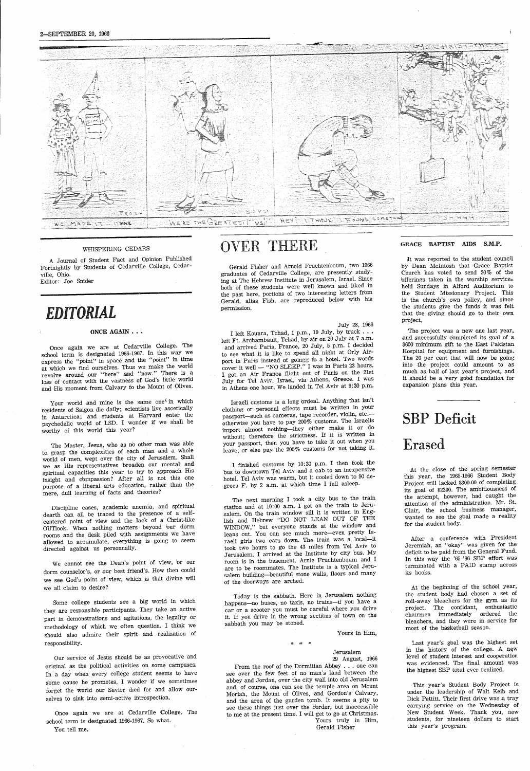#### WHISPERING CEDARS

<sup>A</sup>Journal of Student Fact and Opinion Published Fortnightly by Students of Cedarville College, Cedarville, Ohio.

Once again we are at Cedarville College. The school term is designated 1966-1967. In this way we express the "point'' in space and the "point" in time at which we find ourselves. Thus we make the world revolve around our "here" and "now." There is <sup>a</sup> loss of contact with the vastness of God's little world and His moment from Calvary to the Mount of Olives.

Editor: Joe Snider

## *EDITORIAL*

#### ONCE AGAIN . . .

Your world and mine is the same one<sup> $\zeta$ </sup> in which residents of Saigon die daily; scientists live ascetically in Antarctica; and students at Harvard enter the psychedelic world of LSD. I wonder if we shall be worthy of this world this year?

The Master, Jesus, who as no other man was able to grasp the complexities of each man and a whole world of men, wept over the city of Jerusalem. Shall we as His representatives broaden our mental and spiritual capacities this year to try to approach His insight and compassion? After all is not this one purpose of a liberal arts education, rather than the mere, dull learning of facts and theories?

Discipline cases, academic anemia, and spiritual dearth can all be traced to the presence of a selfcentered point of view and the lack of a Christ-like OUTlook. When nothing matters beyond bur dorm rooms and the desk piled with assignments we have allowed to accumulate, everything is going to seem directed against us personnally.

We cannot see the Dean's point of view, br our dorm counselor's, or our best friend's. How then could we see God's point of view, which is that divine will we all claim to desire?

Some college students see <sup>a</sup>big world in which they are responsible participants. They take an active part in demonstrations and agitations, the legality or methodology of which we often question. I think we should also admire their spirit and realization of responsibility.

Our service of Jesus should be as provocative and original as the political activities on some campuses. In a day when every college student seems to have <sup>s</sup>'ome cause he promotes, I wonder if we sometimes forget the world our Savior died for and allow ourselves to sink into semi-active introspection.

Once again we are at Cedarville College. The school term is designated 1966-1967. So what. You tell me.

# OVER THERE

Gerald Fisher and Arnold Fruchtenbaum, two <sup>1966</sup> graduates of Cedarville College, are presently studying at The Hebrew Institute in Jerusalem, Israel. Since both of these students were well known and liked in the past here, portions of two interesting letters from Gerald, alias Fish, are reproduced below with his permission:

#### July 28, 1966

I left Kounra, Tchad, 1 p.m., 19 July, by truck ..• left Ft. Archambault, Tchad, by air on 20 July at 7 a.m. and arrived Paris, France, 20 July, 5 p.m. I decided to see what it is like to spend all night at Orly Airport in Paris instead of goingg to a hotel. Two words cover it well — "NO SLEEP." I was in Paris 23 hours. <sup>I</sup>got an Air France flight out of Paris on the 21st July for Tel Aviv, Israel, via Athens, Greece. I was in Athens one hour. We landed in Tel Aviv at 9:30 p.m.

Israeli customs is a long brdeal. Anything that isn't clothing or personal effects must be written in your passport-such as cameras, tape recorder, violin, etc.otherwise you have to pay 200% customs. The Israelis import almbst nothing-they either make it or do without; therefore the strictness. If it is written in your passport, then you have to take it out when you leave, or else pay the 200% customs for not taking it.

I finished customs by 10:30 p.m. I then took the bus to downtown Tel Aviv and a cab to an inexpensive hotel. Tel Aviv was warm, but it cooled down to 90 degrees F. by 2 a.m. at which time I fell asleep.



The next morning I took a city bus to the train station and at 10:00 a.m. I got on the train to Jerusalem. On the train window sill it is written in English and Hebrew "DO NOT LEAN OUT OF THE WINDOW,'' but everyone stands at the window and leans out. You can see much more-even pretty Israeli girls two cars down. The train was a local-it took two hours to go the 43 miles from Tel Aviv to Jerusalem. I arrived at the Institute by city bus. My room is in the basement. Arnie Fruchtenbaum and <sup>I</sup> are to be roommates. The Institute is a typical Jerusalem building-beautiful stone walls, floors and many of the dborways are arched.

Today is the sabbath. Here in Jerusalem nothing happens—no buses, no taxis, no trains—if you car or a scooter you must\_ be careful where you drive it. If you drive in the wrong sectibns of town on the sabbath you may be stoned.

#### Yours in Him,

Jerusalem 29 August, 1966

From the roof of the Dormitian Abbey . . . one can see over the few feet of no man's land between the abbey and Jbrdan, over the city wall into old Jerusalem and, of course, one can see the temple area on Mount Moriah, the Mount of Olives, and Gordon's Calvary, and the area of the garden tomb. It seems a pity to see these things just over the bbrder, but inaccessible to me at the present time. I will get to go at Christmas.

Yours truly in Him, Gerald Fisher

#### GRACE BAPTIST AIDS S.M.P.

ilt was reported to the student council by Dean Mcintosh that Grace Baptist Church has voted to send 20% of :he bfferings taken in the worship service. held Sundays in Alford Auditorium to the Student Missionary Project. This is the church's own policy, and since the students give the funds it was felt that the giving should go to their own project.

The project was a new one last year, and successfully completed its goal of a \$600 minimum gift to the East Pakistan Hospital for equipment and furnishings. The 20 per cent that will now be going into the project could amount to as much as half of last year's project, and it should be a very gdod foundation for expansion plans this year.

# SBP Deficit Erased

At the close of the spring semester this year, the 1965-1966 Student Body Project still lacked \$300.00 of completing its goal of \$2200. The ambitiousness of the attempt, however, had caught the attention of the administration. Mr. St. Clair, the school business manager, wanted to see the goal made a reality for the student body.

After a conference with President Jeremiah, an "okay" was given for the deficit to be paid from the General Fund. In this way the '65-'66 SBP effort was terminated with a PAID stamp across its books.

At the beginning of the schdol year, the student body bad chosen a set of roll-away bleachers for the gym as its project. The confidant, enthusiastic chairmen immediately ordered the bleachers, and they were in service for most of the basketball season.

Last year's goal was the highest set in the history of the college. A new level of student interest and cooperation was evidenced. The final amount was the highest SBP total ever realized.

This year's Student Body Project is under the leadership of Walt Keib and Dick Pettitt. Their first drive was <sup>a</sup>tray carrying service on the Wednesday of New Student Week. Thank y'ou, new students, for nineteen dollars to start this year's program.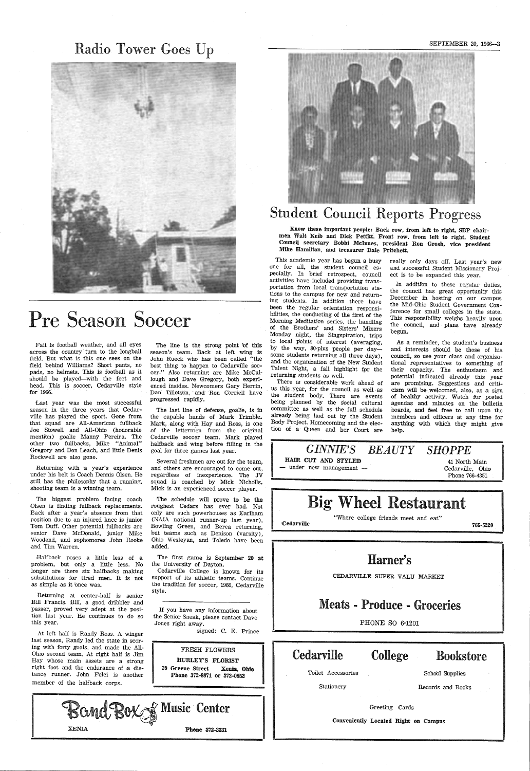## Radio Tower Goes Up



# Pre Season Soccer

Fall is football weather, and all eyes across the country· turn to the longball field. But what is this one sees on the field behind Williams? Short pants, no pads, no helmets. This is football as it should be played-with the feet and head. This is soccer, Cedarville style for 1966.

Returning with a year's experience under his belt is Coach Dennis Olsen. He still has the philosophy that a running, shooting team is a winning team.

Last year was the most successful season in the three years that Cedarville has played the sport. Gone from that squad are All-American fullback Joe Stowell and All-Ohio (honorable mentibn) goalie Manny Pereira. The other two fullbacks, Mike "Animal" Gregory and Don Leach, and little Denis Rockwell are also gone.

Bill Francis. Bill, a good dribbler and passer, proved very adept at the position last year. He continues to do so this year.

The biggest problem facing coach Olsen is finding fullback replacements. Back after a year's absence from that position due to an injured knee is junior Tom Duff. Other potential fullbacks are senior Dave McDonald, junior Mike Woodend, and sophomores John Rooke and Tim Warren.

Halfback poses a little less of a problem, but only a little less. No longer are there six halfbacks making substitutions for tired men. It is not as simple as it bnce was.

Returning at center-half is senior

FRESH FLOWERS HURLEY'S FLORIST 39 Greene Street Xenia, Ohle Phone 372-8871 or 372-0852

At left half is Randy Ross. A winger last season, Randy led the state in scoring with forty goals, and made the All-Ohio second team. At right half is Jim Hay whose main assets are a strong right foot and the endurance of a distance runner. John Felci is another member of the halfback corps.

|              | L'Ausic Center |
|--------------|----------------|
| <b>XENIA</b> | Phone 372-3331 |

Know these important people: Back row, from left to right, SBP chairmen Walt Keib and Dick Pettitt. Front row, from left to right, Student Council secretary Bobbi Mcinnes, president Ron Grosh, vice president Mike Hamilton, and treasurer Dale Pritchett.

This academic year has begun a busy one for all, the student council especially. In brief retrospect, council activities have included providing transportation from local transportation stations to the campus for new and returning students. In additibn there have been the regular orientation responsibilities, the conducting of the first of the Morning Meditation series, the handling of the Brothers' and Sisters' Mixers Monday night, the Singspiration, trips to local pbints of interest (averaging, by the way, 80-plus people per daysome students returning all three days), and the organization of the New Student Talent Night, a fall highlight for the returning students as well.

The line is the strong point bf this season's team. Back at left wing is John Rueck who has been called "the best thing to happen to Cedarville soccer." Also returning are Mike McCullough and Dave Gregory, both experienced insides. Newcomers Gary Herrin, Dan Tillotson, and Ron Corriell have progressed rapidly.

The last line of defense, goalie, is in the capable hands of Mark Trimble. Mark, along with Hay and Ross, is one of the lettermen from the original Cedarville soccer team. Mark played halfback and wing before filling in the goal for three games last year.

Several freshmen are out for the team, and others are encouraged to come out, regardless of inexperience. The JV squad is coached by Mick Nicholls. Mick is an experienced soccer player.

In addition to these regular duties, the council has great opportunity this December in hosting on our campus the Mid-Ohio Student Government Conference for small colleges in the state. This responsibility weighs heavily upon the council, and plans have already begun.

'The schedule will prove to be the roughest Cedars has ever had. Not only are such powerhouses as Earlham (NAIA national runner-up last year), Bowling Green, and Berea returning, but teams such as Denison (varsity), Ohio Wesleyan, and Toledo have been added.

The first game is September 20 at the University of Dayton.

Cedarville College is known for its support of its athletic teams. Continue the tradition for soccer, 1966, Cedarville style.

| If you have any information about     |  |
|---------------------------------------|--|
| the Senior Sneak, please contact Dave |  |
| Jones right away.                     |  |

signed: C. E. Prince

#### SEPTEMBER 20, 1966-3

# Student Council Reports Progress

There is considerable work ahead of us this year, for the council as well as the student body. There are events being planned by the social cultural committee as well as the full schedule already being laid out by the Student Body Project. Homecoming and the election of a Queen and her Court are

really only days off. Last year's new and successful Student Missionary Project is to be expanded this year.

.As a reminder, the student's business and interests sh'ould be those of his council, so use your class and organizational representatives to something of their capacity. The enthusiasm and potential indicated already this year are promising. Suggestions and criticism will be welcomed, also, as a sign of healthy activity. Watch for posted agendas and minutes on the bulletin boards, and feel free to call upon the members and officers at any time for anything with which they might give help.



#### CEDARVILLE SUPER VALU MARKET

Meats - Produce - Groceries

PHONE SO 6~ 1201

## Cedarville College Bookstore

Toilet Accessories and School Supplies

Stationery Records and Books

Greeting Cards

Conveniently Located Right on Campus